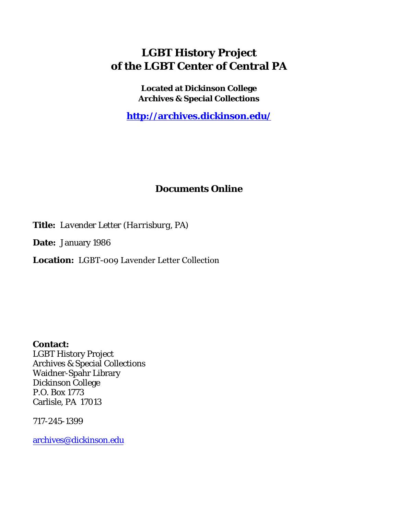## **LGBT History Project of the LGBT Center of Central PA**

**Located at Dickinson College Archives & Special Collections**

**<http://archives.dickinson.edu/>**

## **Documents Online**

**Title:** *Lavender Letter (Harrisburg, PA)*

**Date:** January 1986

**Location:** LGBT-009 Lavender Letter Collection

**Contact:**  LGBT History Project Archives & Special Collections Waidner-Spahr Library Dickinson College P.O. Box 1773 Carlisle, PA 17013

717-245-1399

[archives@dickinson.edu](mailto:archives@dickinson.edu)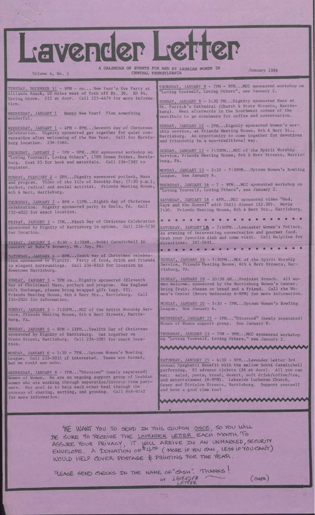A CALENDAR OF EVENTS FOR AND BY LESBIAN WOMEN IN CENTRAL PENNSYLVANIA

**CONTROL** 

January 1986

TUESDAY, DECEMBER 31 - 9PM - on... New Year'<sup>s</sup> Eve Party at Altlands Ranch, 10 miles west of York off Rt. 30. RD #4, Spring Grove. \$12 at door. Call 225-4479 for more information .

**VEFCC** 

WEDNESDAY, JANUARY 1 Happy New Year! Plan something wonderful.

Volume 4, No. 1

WEDNESDAY, JANUARY 1 - 4PM - 8PM...Seventh day of Christmas Celebration. Dignity sponsored get together for quiet conversation after welcoming of the New Year. Call for Harrisburg location. 238-5380.

THURSDAY, JANUARY 2 - 7PM - 9PM...MCC sponsored workshop on "Loving Yourself, Loving Others", 1709 Green Street, Harrisburg. Cost \$5 for book and materials. Call 236-7387 to register.

SUNDAY, FEBRUARY 2 - 5PM...Dignity sponsored potluck, Mass and program. Video of the life of Dorothy Day, (7:30 p.m.), author, radical and social activist. Friends Meeting House, 6th & Herr, Harrisburg.

THURSDAY, JANUARY 2 - 8PM - 11PM...Eighth day of Christmas celebration. Dignity sponsored party in Enola, PA. Call 732-4022 for exact location.

FRIDAY, JANUARY 3 - 7PM...Ninth Day of Christmas Celebration sponsored by Dignity of Harrisburg in uptown. Call 234-5730 for location.

FRIDAY. JANUARY <sup>3</sup> - 9:30 - 1:30AM...Bobbi Carmitchell in concert at Bube's Brewery, Mt. Joy, PA.

SATURDAY, JANUARY 4 - 8PM...Tenth day of Christmas celebration sponsored by Dignity. Party of food, drink and friends in elegant surroundings. Call 236-8563 for location in downtown Harrisburg.

SUNDAY, JANUARY 5 - 5PM on...Dignity sponsored (Eleventh Day of Christmas) Mass, potluck and program. New England Gift Exchange, please bring wrapped gift (app. \$5). Friends Meeting House, 6th & Herr Sts., Harrisburg. Call 234-2024 for information.

SUNDAY, JANUARY 5 - 7:30PM...MCC of the Spirit Worship Service, Friends Meeting House, 6th & Herr Streets, Harrisburg, PA.

MONDAY, JANUARY 6 - 8PM - 11PM...Twelfth Day of Christmas sponsored by Dignity of Harrisburg. Get together on Green Street, Harrisburg. Call 236-1081 for exact location.

MONDAY, JANUARY 6 - 5:30 - 7PM...Uptown Women's Bowling League. Call 233-3035 if interested. Teams are formed, but we could use subs.

WEDNESDAY, JANUARY 8 - 7PM..."Divorced" (newly separated) Women of Women. We are an ongoing support group of Lesbian women who are working through separation/divorce from partners. Our goal is to help each other heal through the process of sharing, sorting, and growing. Call 848-9142 for more information.

THURSDAY, JANUARY 9 - 7PM - 9PM...MCC sponsored workshop on "Loving Yourself, Loving Others", see January 2.

SUNDAY, JANUARY 9 - 5:30 PM...Dignity sponsored Mass at St. Patrick's Cathedral (Church & State Streets, Harrisburg) . Meet afterwards in the Southwest corner of the vestibule to go somehwere for coffee and conversation.

SUNDAY, JANUARY 12 - 2PM...Dignity sponsored Women's worship service, at Friends Meeting House, 6th & Herr St., Harrisburg. An opportunity to come together for devotions and friendship in a non-traditional way.

SUNDAY, JANUARY 12 - 7:30PM...MCC of the Spirit Worship Service, Friends Meeting House, 6th & Herr Streets, Harrisburg, PA.

MONDAY, JANUARY  $13 - 5:30 - 7:30$ PM...Uptown Women's Bowling League. See January 6.

THURSDAY, JANUARY 16 - 7 - 9PM...MCC sponsored workshop on "Loving Yourself, Loving Others", see January 2.

SATURDAY, JANUARY 18 - 6PM...MCC sponsored video "God, Gays and the Gospel" with Chili dinner (\$2.50). Movie 7:30. Friends Meeting House, 6th & Herr Sts., Harrisburg.

«»•••••••••••••••••'• SATURDAY, JANUARY 18 - 7:30PM...Lancaster Women's Potluck. An evening of interesting conversation and gourmet food. Grab your favorite dish and come visit. Call Helpline for directions: 397-0691.<br>•••••••••••••••••••••••••

SUNDAY, JANUARY 19 - 7:30PM...MCC of the Spirit Worship Service, Friends Meeting House, 6th & Herr Streets, Harrisburg, PA.

SUNDAY, JANUARY 19 - 10:30 AM...Feminist Brunch. All women welcome, sponsored by the Harrisburg Women's Center. Bring fruit, cheese or bread and a friend. Call the Women's Center (Hours Wednesday 6-9PM) for more information.

MONDAY, JANUARY 20 - 5:30 - 7PM...Uptown Women's Bowling League. See January 6.

WEDNESDAY, JANUARY 22 - 7PM..."Divorced" (newly separated) Women of Women support group. See January 8.

THURSDAY, JANUARY 23 - 7PM - 9PM...MCC sponsored workshop on "Loving Yourself, Loving Others," see January 2.

www.www.www.www.ww

SATURDAY, JANUARY 25 - 6:30 - 9PM...Lavender Letter 3rd Annual Spaghetti Benefit with the mellow Bobbi Carmitchell performing. \$5 advance tickets (\$6 at door). All you can eat: salad, pasta, bread, desert, soft drink/coffee/tea, and entertainment (8-9PM). Lakeside Lutheran Church, Green and Division Streets, Harrisburg. Support yourself and have a good time tool

WE WANT YOU TO SEND IN THIS COUPON ONCE, SO YOU WILL BE SURE TO RECEIVE THE LAVENDER LETTER EACH MONTH. To YOUR PRIVACY IT WILL ARRIVE IN AN UNMARKED, SECURITY  $RSSURE$  YOUR FRIVACT IT WILL ARRIVE IN YOU CAN, LESS IF YOU CANT) WOULD HELP COVER POSTAGE & PRINTING FOR THE YEAR.

A

PLEASE SEND CHECKS IN THE NAME OF "CASH". THANKS! or LAVENDER

 $(ov_{QR})$